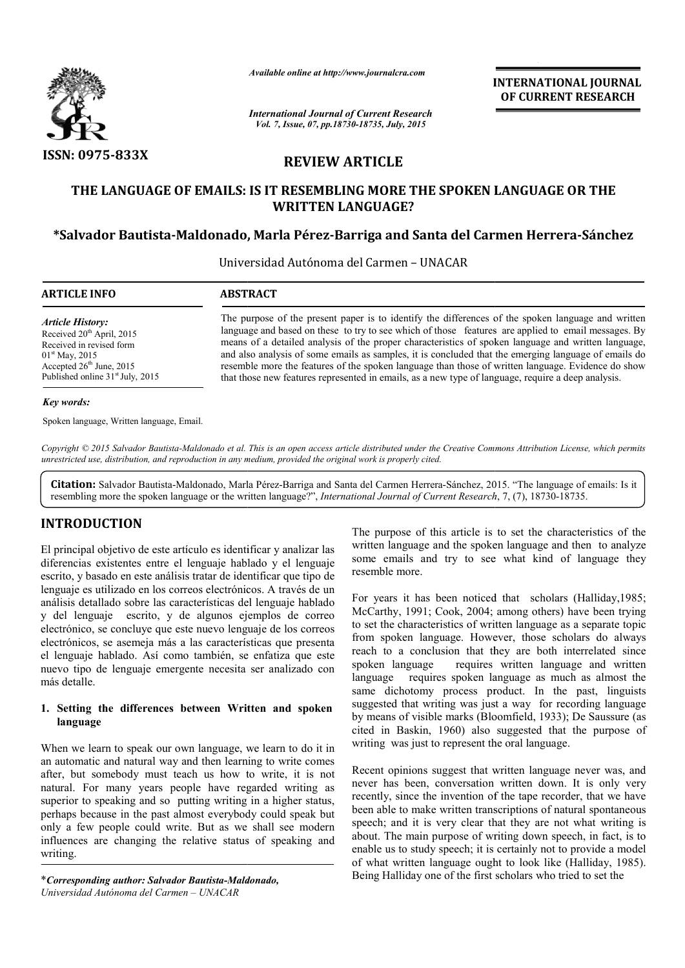

*Available online at http://www.journalcra.com*

*International Journal of Current Research Vol. 7, Issue, 07, pp.18730-18735, July, 2015*

INTERNATIONAL INTERNATIONAL JOURNAL OF CURRENT RESEARCH

## REVIEW ARTICLE

## THE LANGUAGE OF EMAILS: IS IT RESEMBLING MORE THE SPOKEN LANGUAGE OR THE LANGUAGE OF WRITTEN LANGUAGE?

## \*Salvador Bautista-Maldonado, Marla Pérez-Barriga and Santa del Carmen Herrera-Sánchez

Universidad Autónoma del Carmen – UNACAR 1

| ARTICLE INFO |  |  |  |  |  |  |
|--------------|--|--|--|--|--|--|
|--------------|--|--|--|--|--|--|

## **ABSTRACT**

*Article History:* Received 20<sup>th</sup> April, 2015 Received in revised form 01<sup>st</sup> May, 2015 Accepted 26<sup>th</sup> June, 2015 Published online 31<sup>st</sup> July, 2015 The purpose of the present paper is to identify the differences of the spoken language and written language and based on these to try to see which of those features are applied to email messages. By means of a detailed analysis of the proper characteristics of spoken language and written language, and also analysis of some emails as samples, it is concluded that the emerging language of emails do resemble more the features of the spoken language than those of written language. Evidence do show resemble more the features of the spoken language than those of written language. Evidence do that those new features represented in emails, as a new type of language, require a deep analysis. purpose of the present paper is to identify the differences of the spoken language and written uage and based on these to try to see which of those features are applied to email messages. By ns of a detailed analysis of th

#### *Key words:*

Spoken language, Written language, Email.

Copyright © 2015 Salvador Bautista-Maldonado et al. This is an open access article distributed under the Creative Commons Attribution License, which permits *unrestricted use, distribution, and reproduction in any medium, provided the original work is properly cited.*

Citation: Salvador Bautista-Maldonado, Marla Pérez-Barriga and Santa del Carmen Herrera-Sánchez, 2015. "The language of emails: Is it resembling more the spoken language or the written language?", *International Journal of Current Research*, 7, (7), 18730-18735.

## INTRODUCTION

El principal objetivo de este artículo es identificar y analizar las diferencias existentes entre el lenguaje hablado y el lenguaje escrito, y basado en este análisis tratar de identificar que tipo de lenguaje es utilizado en los correos electrónicos. A través de un análisis detallado sobre las características del lenguaje hablado y del lenguaje escrito, y de algunos ejemplos de correo electrónico, se concluye que este nuevo lenguaje de los correos electrónicos, se asemeja más a las características que presenta el lenguaje hablado. Así como también, se enfatiza que este nuevo tipo de lenguaje emergente necesita ser analizado con más detalle. l lenguaje escritation<br>cónico, se concluye<br>rónicos, se asemeja<br>nguaje hablado. As<br>o tipo de lenguaje<br>detalle.<br>**etting the differenguage**<br>n we learn to speak<br>tomatic and natural<br>but somebody m<br>al. For many yea<br>rior to speak

## 1. Setting the differences between Written and spoken language

When we learn to speak our own language, we learn to do it in an automatic and natural way and then learning to write comes after, but somebody must teach us how to write, it is not natural. For many years people have regarded writing as superior to speaking and so putting writing in a higher status, perhaps because in the past almost everybody could speak but only a few people could write. But as we shall see modern influences are changing the relative status of speaking and writing.

\**Corresponding author: Salvador Bautista-Maldonado Maldonado, Universidad Autónoma del Carmen – UNACAR*

The purpose of this article is to set the characteristics of the written language and the spoken language and then to analyze The purpose of this article is to set the characteristics of the written language and the spoken language and then to analyze some emails and try to see what kind of language they resemble more.

For years it has been noticed that scholars (Halliday,1985; McCarthy, 1991; Cook, 2004; among others) have been trying For years it has been noticed that scholars (Halliday, 1985; McCarthy, 1991; Cook, 2004; among others) have been trying to set the characteristics of written language as a separate topic from spoken language. However, those scholars do always reach to a conclusion that they are both interrelated since spoken language requires written language and written language requires spoken language as much as almost the reach to a conclusion that they are both interrelated since<br>spoken language requires written language and written<br>language requires spoken language as much as almost the<br>same dichotomy process product. In the past, linguis suggested that writing was just a way for recording language by means of visible marks (Bloomfield, 1933); De Saussure (as cited in Baskin, 1960) also suggested that the purpose of by means of visible marks (Bloomfield, 1933); De Saussure (as cited in Baskin, 1960) also suggested that the purpose of writing was just to represent the oral language.

Recent opinions suggest that written language never was, and never has been, conversation written down. It is only very recently, since the invention of the tape recorder, that we have been able to make written transcriptions of natural spontaneous speech; and it is very clear that they are not what writing is about. The main purpose of writing down speech, in fact, is to enable us to study speech; it is certainly not to provide a model of what written language ought to look like (Halliday, 1985). Being Halliday one of the first scholars who tried to set the %; it is certainly not to provide a m<br>cought to look like (Halliday, 19<br>first scholars who tried to set the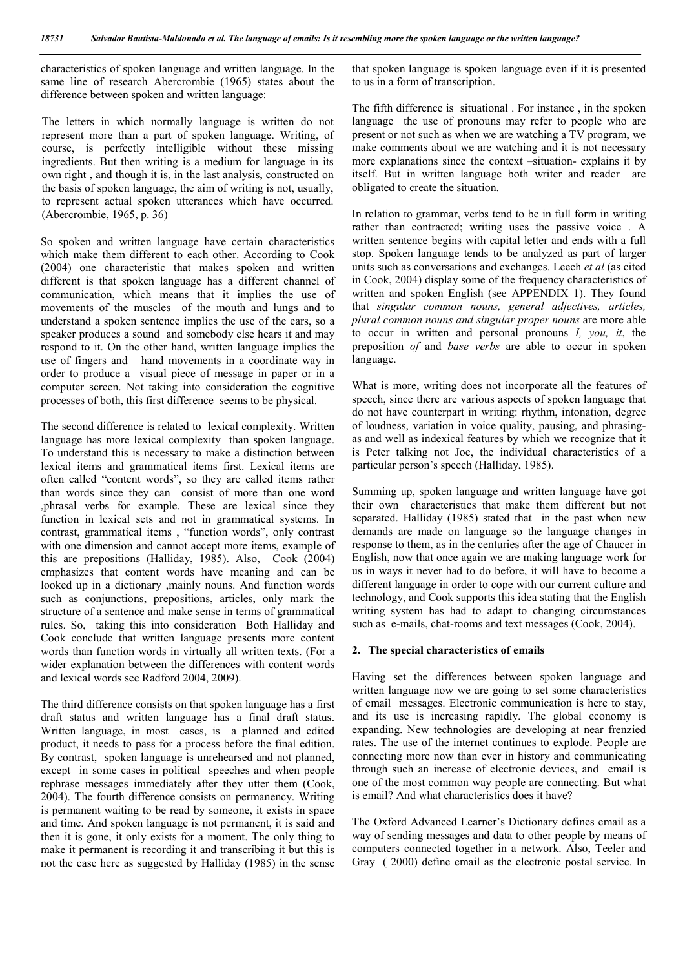characteristics of spoken language and written language. In the same line of research Abercrombie (1965) states about the difference between spoken and written language:

The letters in which normally language is written do not represent more than a part of spoken language. Writing, of course, is perfectly intelligible without these missing ingredients. But then writing is a medium for language in its own right , and though it is, in the last analysis, constructed on the basis of spoken language, the aim of writing is not, usually, to represent actual spoken utterances which have occurred. (Abercrombie, 1965, p. 36)

So spoken and written language have certain characteristics which make them different to each other. According to Cook (2004) one characteristic that makes spoken and written different is that spoken language has a different channel of communication, which means that it implies the use of movements of the muscles of the mouth and lungs and to understand a spoken sentence implies the use of the ears, so a speaker produces a sound and somebody else hears it and may respond to it. On the other hand, written language implies the use of fingers and hand movements in a coordinate way in order to produce a visual piece of message in paper or in a computer screen. Not taking into consideration the cognitive processes of both, this first difference seems to be physical.

The second difference is related to lexical complexity. Written language has more lexical complexity than spoken language. To understand this is necessary to make a distinction between lexical items and grammatical items first. Lexical items are often called "content words", so they are called items rather than words since they can consist of more than one word ,phrasal verbs for example. These are lexical since they function in lexical sets and not in grammatical systems. In contrast, grammatical items , "function words", only contrast with one dimension and cannot accept more items, example of this are prepositions (Halliday, 1985). Also, Cook (2004) emphasizes that content words have meaning and can be looked up in a dictionary ,mainly nouns. And function words such as conjunctions, prepositions, articles, only mark the structure of a sentence and make sense in terms of grammatical rules. So, taking this into consideration Both Halliday and Cook conclude that written language presents more content words than function words in virtually all written texts. (For a wider explanation between the differences with content words and lexical words see Radford 2004, 2009).

The third difference consists on that spoken language has a first draft status and written language has a final draft status. Written language, in most cases, is a planned and edited product, it needs to pass for a process before the final edition. By contrast, spoken language is unrehearsed and not planned, except in some cases in political speeches and when people rephrase messages immediately after they utter them (Cook, 2004). The fourth difference consists on permanency. Writing is permanent waiting to be read by someone, it exists in space and time. And spoken language is not permanent, it is said and then it is gone, it only exists for a moment. The only thing to make it permanent is recording it and transcribing it but this is not the case here as suggested by Halliday (1985) in the sense

that spoken language is spoken language even if it is presented to us in a form of transcription.

The fifth difference is situational . For instance , in the spoken language the use of pronouns may refer to people who are present or not such as when we are watching a TV program, we make comments about we are watching and it is not necessary more explanations since the context –situation- explains it by itself. But in written language both writer and reader are obligated to create the situation.

In relation to grammar, verbs tend to be in full form in writing rather than contracted; writing uses the passive voice . A written sentence begins with capital letter and ends with a full stop. Spoken language tends to be analyzed as part of larger units such as conversations and exchanges. Leech *et al* (as cited in Cook, 2004) display some of the frequency characteristics of written and spoken English (see APPENDIX 1). They found that *singular common nouns, general adjectives, articles, plural common nouns and singular proper nouns* are more able to occur in written and personal pronouns *I, you, it*, the preposition *of* and *base verbs* are able to occur in spoken language.

What is more, writing does not incorporate all the features of speech, since there are various aspects of spoken language that do not have counterpart in writing: rhythm, intonation, degree of loudness, variation in voice quality, pausing, and phrasingas and well as indexical features by which we recognize that it is Peter talking not Joe, the individual characteristics of a particular person's speech (Halliday, 1985).

Summing up, spoken language and written language have got their own characteristics that make them different but not separated. Halliday (1985) stated that in the past when new demands are made on language so the language changes in response to them, as in the centuries after the age of Chaucer in English, now that once again we are making language work for us in ways it never had to do before, it will have to become a different language in order to cope with our current culture and technology, and Cook supports this idea stating that the English writing system has had to adapt to changing circumstances such as e-mails, chat-rooms and text messages (Cook, 2004).

#### 2. The special characteristics of emails

Having set the differences between spoken language and written language now we are going to set some characteristics of email messages. Electronic communication is here to stay, and its use is increasing rapidly. The global economy is expanding. New technologies are developing at near frenzied rates. The use of the internet continues to explode. People are connecting more now than ever in history and communicating through such an increase of electronic devices, and email is one of the most common way people are connecting. But what is email? And what characteristics does it have?

The Oxford Advanced Learner's Dictionary defines email as a way of sending messages and data to other people by means of computers connected together in a network. Also, Teeler and Gray ( 2000) define email as the electronic postal service. In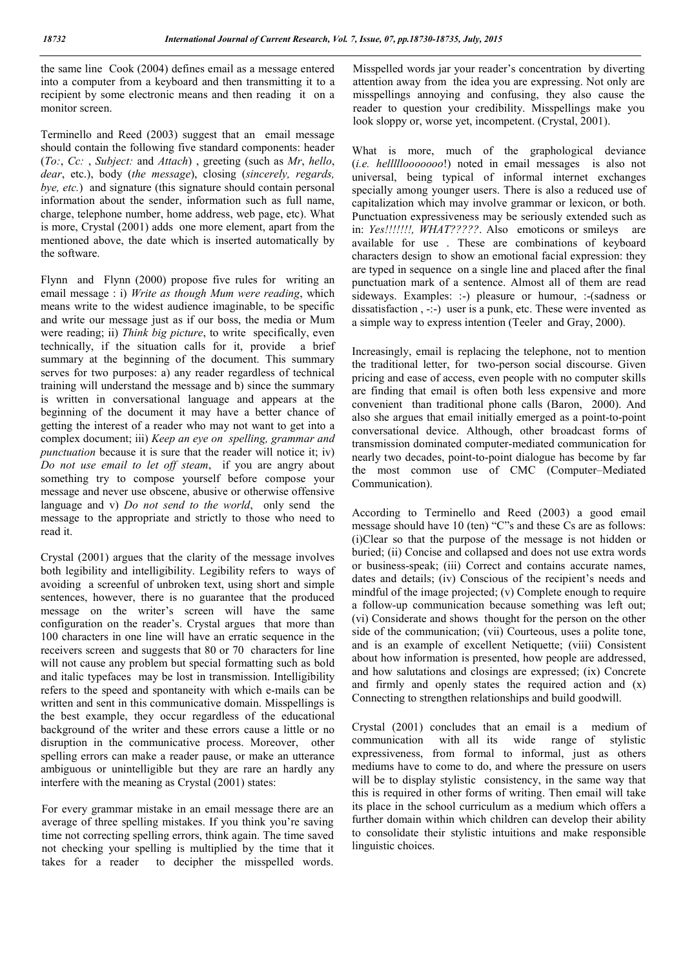the same line Cook (2004) defines email as a message entered into a computer from a keyboard and then transmitting it to a recipient by some electronic means and then reading it on a monitor screen.

Terminello and Reed (2003) suggest that an email message should contain the following five standard components: header (*To:*, *Cc:* , *Subject:* and *Attach*) , greeting (such as *Mr*, *hello*, *dear*, etc.), body (*the message*), closing (*sincerely, regards, bye, etc.*) and signature (this signature should contain personal information about the sender, information such as full name, charge, telephone number, home address, web page, etc). What is more, Crystal (2001) adds one more element, apart from the mentioned above, the date which is inserted automatically by the software.

Flynn and Flynn (2000) propose five rules for writing an email message : i) *Write as though Mum were reading*, which means write to the widest audience imaginable, to be specific and write our message just as if our boss, the media or Mum were reading; ii) *Think big picture*, to write specifically, even technically, if the situation calls for it, provide a brief summary at the beginning of the document. This summary serves for two purposes: a) any reader regardless of technical training will understand the message and b) since the summary is written in conversational language and appears at the beginning of the document it may have a better chance of getting the interest of a reader who may not want to get into a complex document; iii) *Keep an eye on spelling, grammar and punctuation* because it is sure that the reader will notice it; iv) *Do not use email to let off steam*, if you are angry about something try to compose yourself before compose your message and never use obscene, abusive or otherwise offensive language and v) *Do not send to the world*, only send the message to the appropriate and strictly to those who need to read it.

Crystal (2001) argues that the clarity of the message involves both legibility and intelligibility. Legibility refers to ways of avoiding a screenful of unbroken text, using short and simple sentences, however, there is no guarantee that the produced message on the writer's screen will have the same configuration on the reader's. Crystal argues that more than 100 characters in one line will have an erratic sequence in the receivers screen and suggests that 80 or 70 characters for line will not cause any problem but special formatting such as bold and italic typefaces may be lost in transmission. Intelligibility refers to the speed and spontaneity with which e-mails can be written and sent in this communicative domain. Misspellings is the best example, they occur regardless of the educational background of the writer and these errors cause a little or no disruption in the communicative process. Moreover, other spelling errors can make a reader pause, or make an utterance ambiguous or unintelligible but they are rare an hardly any interfere with the meaning as Crystal (2001) states:

For every grammar mistake in an email message there are an average of three spelling mistakes. If you think you're saving time not correcting spelling errors, think again. The time saved not checking your spelling is multiplied by the time that it takes for a reader to decipher the misspelled words.

Misspelled words jar your reader's concentration by diverting attention away from the idea you are expressing. Not only are misspellings annoying and confusing, they also cause the reader to question your credibility. Misspellings make you look sloppy or, worse yet, incompetent. (Crystal, 2001).

What is more, much of the graphological deviance (*i.e. helllllooooooo*!) noted in email messages is also not universal, being typical of informal internet exchanges specially among younger users. There is also a reduced use of capitalization which may involve grammar or lexicon, or both. Punctuation expressiveness may be seriously extended such as in: *Yes!!!!!!!, WHAT?????*. Also emoticons or smileys are available for use . These are combinations of keyboard characters design to show an emotional facial expression: they are typed in sequence on a single line and placed after the final punctuation mark of a sentence. Almost all of them are read sideways. Examples: :-) pleasure or humour, :-(sadness or dissatisfaction , -:-) user is a punk, etc. These were invented as a simple way to express intention (Teeler and Gray, 2000).

Increasingly, email is replacing the telephone, not to mention the traditional letter, for two-person social discourse. Given pricing and ease of access, even people with no computer skills are finding that email is often both less expensive and more convenient than traditional phone calls (Baron, 2000). And also she argues that email initially emerged as a point-to-point conversational device. Although, other broadcast forms of transmission dominated computer-mediated communication for nearly two decades, point-to-point dialogue has become by far the most common use of CMC (Computer–Mediated Communication).

According to Terminello and Reed (2003) a good email message should have 10 (ten) "C"s and these Cs are as follows: (i)Clear so that the purpose of the message is not hidden or buried; (ii) Concise and collapsed and does not use extra words or business-speak; (iii) Correct and contains accurate names, dates and details; (iv) Conscious of the recipient's needs and mindful of the image projected; (v) Complete enough to require a follow-up communication because something was left out; (vi) Considerate and shows thought for the person on the other side of the communication; (vii) Courteous, uses a polite tone, and is an example of excellent Netiquette; (viii) Consistent about how information is presented, how people are addressed, and how salutations and closings are expressed; (ix) Concrete and firmly and openly states the required action and (x) Connecting to strengthen relationships and build goodwill.

Crystal (2001) concludes that an email is a medium of communication with all its wide range of stylistic expressiveness, from formal to informal, just as others mediums have to come to do, and where the pressure on users will be to display stylistic consistency, in the same way that this is required in other forms of writing. Then email will take its place in the school curriculum as a medium which offers a further domain within which children can develop their ability to consolidate their stylistic intuitions and make responsible linguistic choices.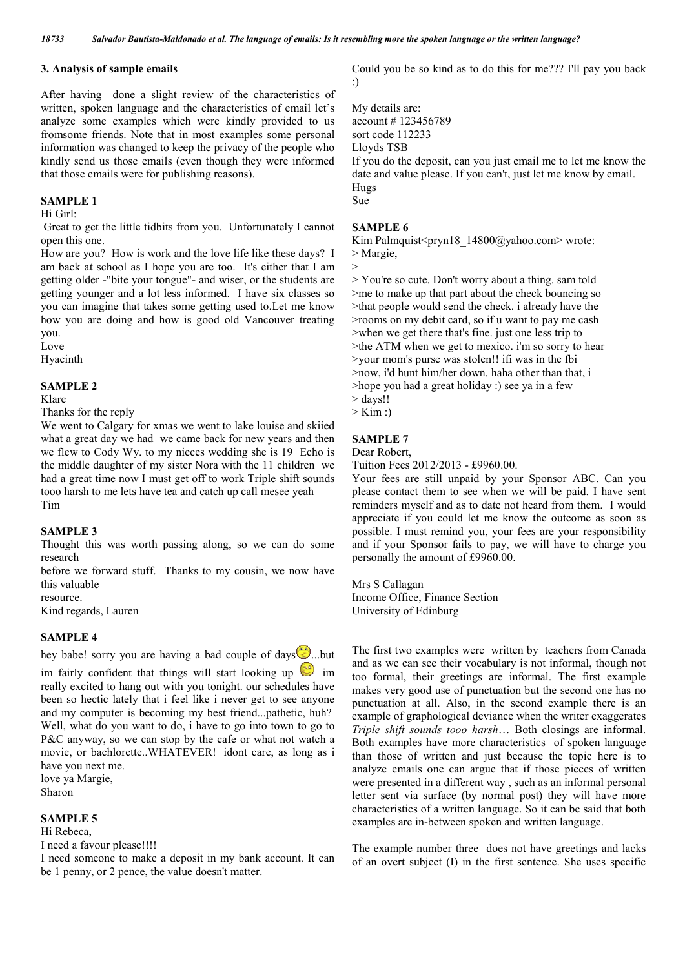## 3. Analysis of sample emails

After having done a slight review of the characteristics of written, spoken language and the characteristics of email let's analyze some examples which were kindly provided to us fromsome friends. Note that in most examples some personal information was changed to keep the privacy of the people who kindly send us those emails (even though they were informed that those emails were for publishing reasons).

#### SAMPLE 1

Hi Girl:

Great to get the little tidbits from you. Unfortunately I cannot open this one.

How are you? How is work and the love life like these days? I am back at school as I hope you are too. It's either that I am getting older -"bite your tongue"- and wiser, or the students are getting younger and a lot less informed. I have six classes so you can imagine that takes some getting used to.Let me know how you are doing and how is good old Vancouver treating you.

Love

Hyacinth

## SAMPLE 2

Klare

Thanks for the reply

We went to Calgary for xmas we went to lake louise and skiied what a great day we had we came back for new years and then we flew to Cody Wy. to my nieces wedding she is 19 Echo is the middle daughter of my sister Nora with the 11 children we had a great time now I must get off to work Triple shift sounds tooo harsh to me lets have tea and catch up call mesee yeah Tim

#### SAMPLE 3

Thought this was worth passing along, so we can do some research

before we forward stuff. Thanks to my cousin, we now have this valuable

resource.

Kind regards, Lauren

## SAMPLE 4

hey babe! sorry you are having a bad couple of days  $\bullet$ ...but im fairly confident that things will start looking up  $\bigcirc$  im really excited to hang out with you tonight. our schedules have been so hectic lately that i feel like i never get to see anyone and my computer is becoming my best friend...pathetic, huh? Well, what do you want to do, i have to go into town to go to P&C anyway, so we can stop by the cafe or what not watch a movie, or bachlorette..WHATEVER! idont care, as long as i have you next me. love ya Margie,

Sharon

#### SAMPLE 5

Hi Rebeca,

I need a favour please!!!!

I need someone to make a deposit in my bank account. It can be 1 penny, or 2 pence, the value doesn't matter.

Could you be so kind as to do this for me??? I'll pay you back :)

My details are: account # 123456789 sort code 112233 Lloyds TSB If you do the deposit, can you just email me to let me know the date and value please. If you can't, just let me know by email. Hugs Sue

#### SAMPLE 6

Kim Palmquist<pryn18  $14800@yahoo.com$ > wrote: > Margie,

>

> You're so cute. Don't worry about a thing. sam told >me to make up that part about the check bouncing so >that people would send the check. i already have the >rooms on my debit card, so if u want to pay me cash >when we get there that's fine. just one less trip to >the ATM when we get to mexico. i'm so sorry to hear >your mom's purse was stolen!! ifi was in the fbi >now, i'd hunt him/her down. haha other than that, i >hope you had a great holiday :) see ya in a few > days!!

 $>$  Kim :)

### SAMPLE 7

Dear Robert,

Tuition Fees 2012/2013 - £9960.00.

Your fees are still unpaid by your Sponsor ABC. Can you please contact them to see when we will be paid. I have sent reminders myself and as to date not heard from them. I would appreciate if you could let me know the outcome as soon as possible. I must remind you, your fees are your responsibility and if your Sponsor fails to pay, we will have to charge you personally the amount of £9960.00.

Mrs S Callagan Income Office, Finance Section University of Edinburg

The first two examples were written by teachers from Canada and as we can see their vocabulary is not informal, though not too formal, their greetings are informal. The first example makes very good use of punctuation but the second one has no punctuation at all. Also, in the second example there is an example of graphological deviance when the writer exaggerates *Triple shift sounds tooo harsh*… Both closings are informal. Both examples have more characteristics of spoken language than those of written and just because the topic here is to analyze emails one can argue that if those pieces of written were presented in a different way , such as an informal personal letter sent via surface (by normal post) they will have more characteristics of a written language. So it can be said that both examples are in-between spoken and written language.

The example number three does not have greetings and lacks of an overt subject (I) in the first sentence. She uses specific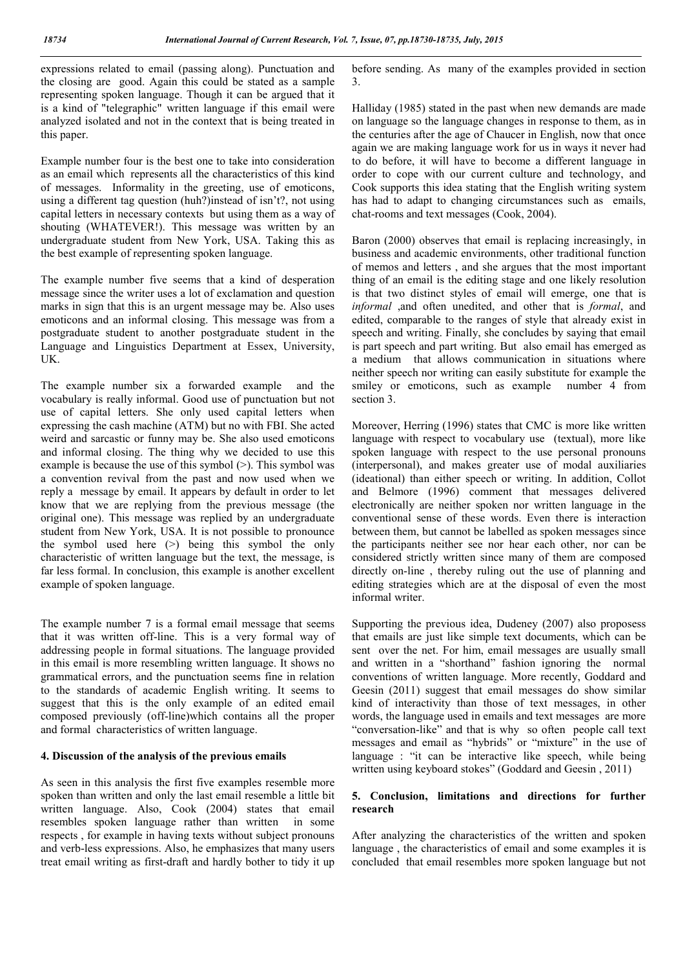expressions related to email (passing along). Punctuation and the closing are good. Again this could be stated as a sample representing spoken language. Though it can be argued that it is a kind of "telegraphic" written language if this email were analyzed isolated and not in the context that is being treated in this paper.

Example number four is the best one to take into consideration as an email which represents all the characteristics of this kind of messages. Informality in the greeting, use of emoticons, using a different tag question (huh?)instead of isn't?, not using capital letters in necessary contexts but using them as a way of shouting (WHATEVER!). This message was written by an undergraduate student from New York, USA. Taking this as the best example of representing spoken language.

The example number five seems that a kind of desperation message since the writer uses a lot of exclamation and question marks in sign that this is an urgent message may be. Also uses emoticons and an informal closing. This message was from a postgraduate student to another postgraduate student in the Language and Linguistics Department at Essex, University, UK.

The example number six a forwarded example and the vocabulary is really informal. Good use of punctuation but not use of capital letters. She only used capital letters when expressing the cash machine (ATM) but no with FBI. She acted weird and sarcastic or funny may be. She also used emoticons and informal closing. The thing why we decided to use this example is because the use of this symbol (>). This symbol was a convention revival from the past and now used when we reply a message by email. It appears by default in order to let know that we are replying from the previous message (the original one). This message was replied by an undergraduate student from New York, USA. It is not possible to pronounce the symbol used here  $(>)$  being this symbol the only characteristic of written language but the text, the message, is far less formal. In conclusion, this example is another excellent example of spoken language.

The example number 7 is a formal email message that seems that it was written off-line. This is a very formal way of addressing people in formal situations. The language provided in this email is more resembling written language. It shows no grammatical errors, and the punctuation seems fine in relation to the standards of academic English writing. It seems to suggest that this is the only example of an edited email composed previously (off-line)which contains all the proper and formal characteristics of written language.

## 4. Discussion of the analysis of the previous emails

As seen in this analysis the first five examples resemble more spoken than written and only the last email resemble a little bit written language. Also, Cook (2004) states that email resembles spoken language rather than written in some respects , for example in having texts without subject pronouns and verb-less expressions. Also, he emphasizes that many users treat email writing as first-draft and hardly bother to tidy it up

before sending. As many of the examples provided in section 3.

Halliday (1985) stated in the past when new demands are made on language so the language changes in response to them, as in the centuries after the age of Chaucer in English, now that once again we are making language work for us in ways it never had to do before, it will have to become a different language in order to cope with our current culture and technology, and Cook supports this idea stating that the English writing system has had to adapt to changing circumstances such as emails, chat-rooms and text messages (Cook, 2004).

Baron (2000) observes that email is replacing increasingly, in business and academic environments, other traditional function of memos and letters , and she argues that the most important thing of an email is the editing stage and one likely resolution is that two distinct styles of email will emerge, one that is *informal* ,and often unedited, and other that is *formal*, and edited, comparable to the ranges of style that already exist in speech and writing. Finally, she concludes by saying that email is part speech and part writing. But also email has emerged as a medium that allows communication in situations where neither speech nor writing can easily substitute for example the smiley or emoticons, such as example number 4 from section 3.

Moreover, Herring (1996) states that CMC is more like written language with respect to vocabulary use (textual), more like spoken language with respect to the use personal pronouns (interpersonal), and makes greater use of modal auxiliaries (ideational) than either speech or writing. In addition, Collot and Belmore (1996) comment that messages delivered electronically are neither spoken nor written language in the conventional sense of these words. Even there is interaction between them, but cannot be labelled as spoken messages since the participants neither see nor hear each other, nor can be considered strictly written since many of them are composed directly on-line , thereby ruling out the use of planning and editing strategies which are at the disposal of even the most informal writer.

Supporting the previous idea, Dudeney (2007) also proposess that emails are just like simple text documents, which can be sent over the net. For him, email messages are usually small and written in a "shorthand" fashion ignoring the normal conventions of written language. More recently, Goddard and Geesin (2011) suggest that email messages do show similar kind of interactivity than those of text messages, in other words, the language used in emails and text messages are more "conversation-like" and that is why so often people call text messages and email as "hybrids" or "mixture" in the use of language : "it can be interactive like speech, while being written using keyboard stokes" (Goddard and Geesin , 2011)

## 5. Conclusion, limitations and directions for further research

After analyzing the characteristics of the written and spoken language , the characteristics of email and some examples it is concluded that email resembles more spoken language but not